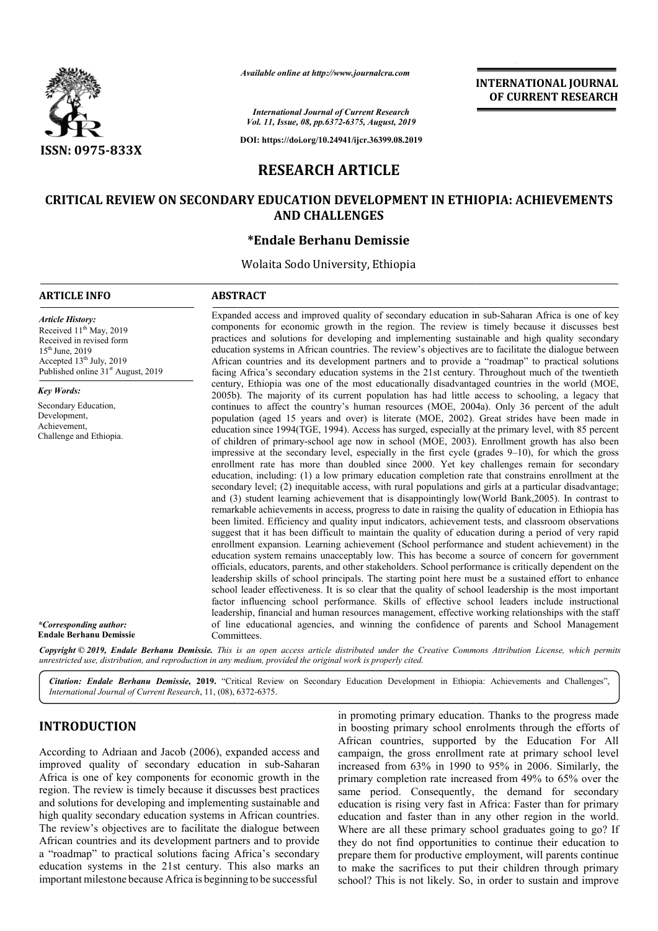

*Available online at http://www.journalcra.com*

**INTERNATIONAL JOURNAL OF CURRENT RESEARCH**

*International Journal of Current Research Vol. 11, Issue, 08, pp.6372-6375, August, 2019*

**DOI: https://doi.org/10.24941/ijcr.36399.08.2019**

# **RESEARCH ARTICLE**

## **CRITICAL REVIEW ON SECONDARY EDUCATION DEVELOPMENT IN ETHIOPIA: ACHIEVEMENTS ON EDUCATION DEVELOPMENT AND CHALLENGES**

## **\*Endale Berhanu Demissie**

Wolaita Sodo University, Ethiopia

## **ARTICLE INFO ABSTRACT**

*Article History:* Received 11<sup>th</sup> May, 2019 Received in revised form 15<sup>th</sup> June, 2019 Accepted 13<sup>th</sup> July, 2019 Published online 31<sup>st</sup> August, 2019

*Key Words:*

Secondary Education, Development, Achievement, Challenge and Ethiopia.

Expanded access and improved quality of secondary education in sub-Saharan Africa is one of key components for economic growth in the region. The review is timely because it discusses best practices and solutions for developing and implementing sustainable and high quality secondary education systems in African countries. The review's objectives are to facilitate the dialogue between African countries and its development partners and to provide a "roadmap" to practical solutions facing Africa's secondary education systems in the 21st century. Throughout much of the twentieth century, Ethiopia was one of the most educationally disadvantaged countries in the world (MOE, 2005b). The majority of its current population has had little access to schooling, a legacy that continues to affect the country's human resources (MOE, 2004a). Only 36 percent of the adult population (aged 15 years and over) is literate (MOE, 2002). Great strides have been made in education since 1994(TGE, 1994). Access has surged, especially at the primary level, with 85 percent of children of primary-school age now in school (MOE, 2003). Enrollment growth has also been impressive at the secondary level, especially in the first cycle (grades 9 enrollment rate has more than doubled since 2000. Yet key challenges remain for secondary enrollment rate has more than doubled since 2000. Yet key challenges remain for secondary education, including: (1) a low primary education completion rate that constrains enrollment at the secondary level; (2) inequitable access, with rural populations and girls at a particular disadvantage; and (3) student learning achievement that is disappointingly low(World Bank,2005). In contrast to remarkable achievements in access, progress to date in raising the quality of education in Ethiopia has been limited. Efficiency and quality input indicators, achievement tests, and classroom observations suggest that it has been difficult to maintain the quality of education during a period of very rapid enrollment expansion. Learning achievement (School performance and student achievement) in the education system remains unacceptably low. This has become a source of concern for government officials, educators, parents, and other stakeholder stakeholders. School performance is critically dependent on the leadership skills of school principals. The starting point here must be a sustained effort to enhance enrollment expansion. Learning achievement (School performance and student achievement) in the education system remains unacceptably low. This has become a source of concern for government officials, educators, parents, an factor influencing school performance. Skills of effective school leaders include instructional factor influencing school performance. Skills of effective school leaders include instructional leadership, financial and human resources management, effective working relationships with the staff of line educational agencies, and winning the confidence of parents and School Management Committees. components for economic growth in the region. The review is timely because it discusses best practices and solutions for developing and implementing sustainable and high quality secondary education systems in African count 2005b). The majority of its current population has had little access to schooling, a legacy that continues to affect the country's human resources (MOE, 2004a). Only 36 percent of the adult population (aged 15 years and ov secondary level; (2) inequitable access, with rural populations and girls at a particular disadvantage; and (3) student learning achievement that is disappointingly low(World Bank, 2005). In contrast to remarkable achievem **TERNATIONAL JOURNAL**<br> **OF CURRENT RESEARCH**<br> **OF CURRENT RESEARCH**<br> **OF CURRENT RESEARCH**<br> **OF CURRENT RESEARCH**<br> **PH1: ACHIEVEMENTS**<br> **DESEARCH**<br> **DESEARCH**<br> **DESEARCH**<br> **DESEARCH**<br> **DESEARCH**<br> **DESEARCH**<br> **OF TH2:**

*\*Corresponding author:*  **Endale Berhanu Demissie**

Copyright © 2019, Endale Berhanu Demissie. This is an open access article distributed under the Creative Commons Attribution License, which permits *unrestricted use, distribution, and reproduction in any medium, provided the original work is properly cited.*

Citation: Endale Berhanu Demissie, 2019. "Critical Review on Secondary Education Development in Ethiopia: Achievements and Challenges", **Citation: Endale Berhanu Demissie, 2019.** "Critical Revie<br>International Journal of Current Research, 11, (08), 6372-6375.

## **INTRODUCTION**

According to Adriaan and Jacob (2006), expanded access and improved quality of secondary education in sub-Saharan Africa is one of key components for economic growth in the region. The review is timely because it discusses best practices and solutions for developing and implementing sustainable and high quality secondary education systems in African countries. The review's objectives are to facilitate the dialogue between African countries and its development partners and to provide a "roadmap" to practical solutions facing Africa's secondary education systems in the 21st century. This also marks an important milestone because Africa is beginning to be successful

in promoting primary education. Thanks to the progress made in boosting primary school enrolments through the efforts of African countries, supported by the Education For All campaign, the gross enrollment rate at primary school level African countries, supported by the Education For All campaign, the gross enrollment rate at primary school level increased from 63% in 1990 to 95% in 2006. Similarly, the primary completion rate increased from 49% to 65% over the primary completion rate increased from 49% to 65% over the same period. Consequently, the demand for secondary education is rising very fast in Africa: Faster than for primary education and faster than in any other region in the world. Where are all these primary school graduates going to go? If education is rising very fast in Africa: Faster than for primary<br>education and faster than in any other region in the world.<br>Where are all these primary school graduates going to go? If<br>they do not find opportunities to co prepare them for productive employment, will parents continue to make the sacrifices to put their children through primary school? This is not likely. So, in order to sustain and improve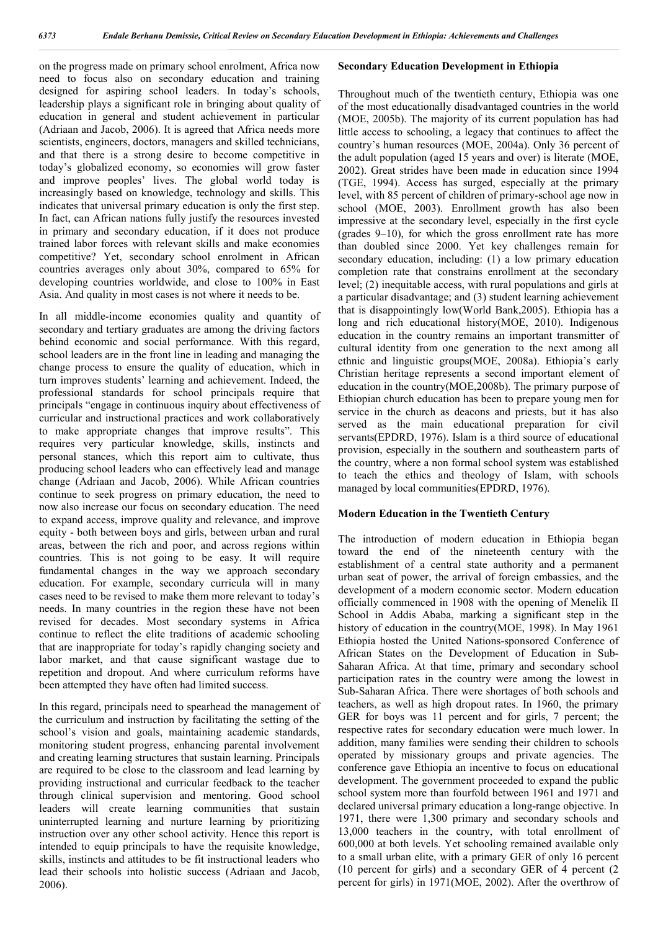on the progress made on primary school enrolment, Africa now need to focus also on secondary education and training designed for aspiring school leaders. In today's schools, leadership plays a significant role in bringing about quality of education in general and student achievement in particular (Adriaan and Jacob, 2006). It is agreed that Africa needs more scientists, engineers, doctors, managers and skilled technicians, and that there is a strong desire to become competitive in today's globalized economy, so economies will grow faster and improve peoples' lives. The global world today is increasingly based on knowledge, technology and skills. This indicates that universal primary education is only the first step. In fact, can African nations fully justify the resources invested in primary and secondary education, if it does not produce trained labor forces with relevant skills and make economies competitive? Yet, secondary school enrolment in African countries averages only about 30%, compared to 65% for developing countries worldwide, and close to 100% in East Asia. And quality in most cases is not where it needs to be.

In all middle-income economies quality and quantity of secondary and tertiary graduates are among the driving factors behind economic and social performance. With this regard, school leaders are in the front line in leading and managing the change process to ensure the quality of education, which in turn improves students' learning and achievement. Indeed, the professional standards for school principals require that principals "engage in continuous inquiry about effectiveness of curricular and instructional practices and work collaboratively to make appropriate changes that improve results". This requires very particular knowledge, skills, instincts and personal stances, which this report aim to cultivate, thus producing school leaders who can effectively lead and manage change (Adriaan and Jacob, 2006). While African countries continue to seek progress on primary education, the need to now also increase our focus on secondary education. The need to expand access, improve quality and relevance, and improve equity - both between boys and girls, between urban and rural areas, between the rich and poor, and across regions within countries. This is not going to be easy. It will require fundamental changes in the way we approach secondary education. For example, secondary curricula will in many cases need to be revised to make them more relevant to today's needs. In many countries in the region these have not been revised for decades. Most secondary systems in Africa continue to reflect the elite traditions of academic schooling that are inappropriate for today's rapidly changing society and labor market, and that cause significant wastage due to repetition and dropout. And where curriculum reforms have been attempted they have often had limited success.

In this regard, principals need to spearhead the management of the curriculum and instruction by facilitating the setting of the school's vision and goals, maintaining academic standards, monitoring student progress, enhancing parental involvement and creating learning structures that sustain learning. Principals are required to be close to the classroom and lead learning by providing instructional and curricular feedback to the teacher through clinical supervision and mentoring. Good school leaders will create learning communities that sustain uninterrupted learning and nurture learning by prioritizing instruction over any other school activity. Hence this report is intended to equip principals to have the requisite knowledge, skills, instincts and attitudes to be fit instructional leaders who lead their schools into holistic success (Adriaan and Jacob, 2006).

#### **Secondary Education Development in Ethiopia**

Throughout much of the twentieth century, Ethiopia was one of the most educationally disadvantaged countries in the world (MOE, 2005b). The majority of its current population has had little access to schooling, a legacy that continues to affect the country's human resources (MOE, 2004a). Only 36 percent of the adult population (aged 15 years and over) is literate (MOE, 2002). Great strides have been made in education since 1994 (TGE, 1994). Access has surged, especially at the primary level, with 85 percent of children of primary-school age now in school (MOE, 2003). Enrollment growth has also been impressive at the secondary level, especially in the first cycle (grades 9–10), for which the gross enrollment rate has more than doubled since 2000. Yet key challenges remain for secondary education, including: (1) a low primary education completion rate that constrains enrollment at the secondary level; (2) inequitable access, with rural populations and girls at a particular disadvantage; and (3) student learning achievement that is disappointingly low(World Bank,2005). Ethiopia has a long and rich educational history(MOE, 2010). Indigenous education in the country remains an important transmitter of cultural identity from one generation to the next among all ethnic and linguistic groups(MOE, 2008a). Ethiopia's early Christian heritage represents a second important element of education in the country(MOE,2008b). The primary purpose of Ethiopian church education has been to prepare young men for service in the church as deacons and priests, but it has also served as the main educational preparation for civil servants(EPDRD, 1976). Islam is a third source of educational provision, especially in the southern and southeastern parts of the country, where a non formal school system was established to teach the ethics and theology of Islam, with schools managed by local communities(EPDRD, 1976).

#### **Modern Education in the Twentieth Century**

The introduction of modern education in Ethiopia began toward the end of the nineteenth century with the establishment of a central state authority and a permanent urban seat of power, the arrival of foreign embassies, and the development of a modern economic sector. Modern education officially commenced in 1908 with the opening of Menelik II School in Addis Ababa, marking a significant step in the history of education in the country(MOE, 1998). In May 1961 Ethiopia hosted the United Nations-sponsored Conference of African States on the Development of Education in Sub-Saharan Africa. At that time, primary and secondary school participation rates in the country were among the lowest in Sub-Saharan Africa. There were shortages of both schools and teachers, as well as high dropout rates. In 1960, the primary GER for boys was 11 percent and for girls, 7 percent; the respective rates for secondary education were much lower. In addition, many families were sending their children to schools operated by missionary groups and private agencies. The conference gave Ethiopia an incentive to focus on educational development. The government proceeded to expand the public school system more than fourfold between 1961 and 1971 and declared universal primary education a long-range objective. In 1971, there were 1,300 primary and secondary schools and 13,000 teachers in the country, with total enrollment of 600,000 at both levels. Yet schooling remained available only to a small urban elite, with a primary GER of only 16 percent (10 percent for girls) and a secondary GER of 4 percent (2 percent for girls) in 1971(MOE, 2002). After the overthrow of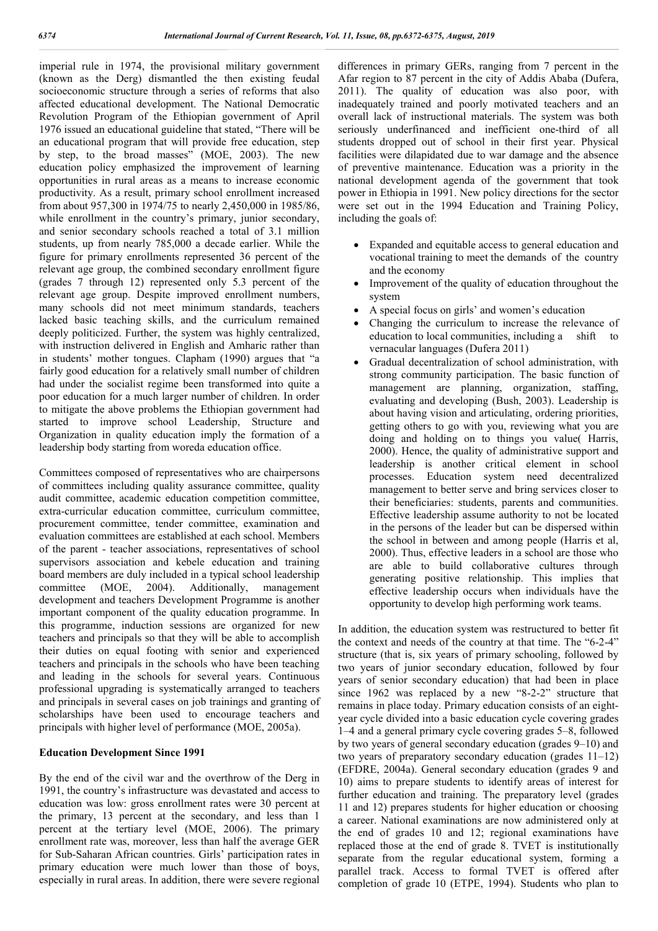imperial rule in 1974, the provisional military government (known as the Derg) dismantled the then existing feudal socioeconomic structure through a series of reforms that also affected educational development. The National Democratic Revolution Program of the Ethiopian government of April 1976 issued an educational guideline that stated, "There will be an educational program that will provide free education, step by step, to the broad masses" (MOE, 2003). The new education policy emphasized the improvement of learning opportunities in rural areas as a means to increase economic productivity. As a result, primary school enrollment increased from about 957,300 in 1974/75 to nearly 2,450,000 in 1985/86, while enrollment in the country's primary, junior secondary, and senior secondary schools reached a total of 3.1 million students, up from nearly 785,000 a decade earlier. While the figure for primary enrollments represented 36 percent of the relevant age group, the combined secondary enrollment figure (grades 7 through 12) represented only 5.3 percent of the relevant age group. Despite improved enrollment numbers, many schools did not meet minimum standards, teachers lacked basic teaching skills, and the curriculum remained deeply politicized. Further, the system was highly centralized, with instruction delivered in English and Amharic rather than in students' mother tongues. Clapham (1990) argues that "a fairly good education for a relatively small number of children had under the socialist regime been transformed into quite a poor education for a much larger number of children. In order to mitigate the above problems the Ethiopian government had started to improve school Leadership, Structure and Organization in quality education imply the formation of a leadership body starting from woreda education office.

Committees composed of representatives who are chairpersons of committees including quality assurance committee, quality audit committee, academic education competition committee, extra-curricular education committee, curriculum committee, procurement committee, tender committee, examination and evaluation committees are established at each school. Members of the parent - teacher associations, representatives of school supervisors association and kebele education and training board members are duly included in a typical school leadership committee (MOE, 2004). Additionally, management development and teachers Development Programme is another important component of the quality education programme. In this programme, induction sessions are organized for new teachers and principals so that they will be able to accomplish their duties on equal footing with senior and experienced teachers and principals in the schools who have been teaching and leading in the schools for several years. Continuous professional upgrading is systematically arranged to teachers and principals in several cases on job trainings and granting of scholarships have been used to encourage teachers and principals with higher level of performance (MOE, 2005a).

#### **Education Development Since 1991**

By the end of the civil war and the overthrow of the Derg in 1991, the country's infrastructure was devastated and access to education was low: gross enrollment rates were 30 percent at the primary, 13 percent at the secondary, and less than 1 percent at the tertiary level (MOE, 2006). The primary enrollment rate was, moreover, less than half the average GER for Sub-Saharan African countries. Girls' participation rates in primary education were much lower than those of boys, especially in rural areas. In addition, there were severe regional

differences in primary GERs, ranging from 7 percent in the Afar region to 87 percent in the city of Addis Ababa (Dufera, 2011). The quality of education was also poor, with inadequately trained and poorly motivated teachers and an overall lack of instructional materials. The system was both seriously underfinanced and inefficient one-third of all students dropped out of school in their first year. Physical facilities were dilapidated due to war damage and the absence of preventive maintenance. Education was a priority in the national development agenda of the government that took power in Ethiopia in 1991. New policy directions for the sector were set out in the 1994 Education and Training Policy, including the goals of:

- Expanded and equitable access to general education and vocational training to meet the demands of the country and the economy
- Improvement of the quality of education throughout the system
- A special focus on girls' and women's education
- Changing the curriculum to increase the relevance of education to local communities, including a shift to vernacular languages (Dufera 2011)
- Gradual decentralization of school administration, with strong community participation. The basic function of management are planning, organization, staffing, evaluating and developing (Bush, 2003). Leadership is about having vision and articulating, ordering priorities, getting others to go with you, reviewing what you are doing and holding on to things you value( Harris, 2000). Hence, the quality of administrative support and leadership is another critical element in school processes. Education system need decentralized management to better serve and bring services closer to their beneficiaries: students, parents and communities. Effective leadership assume authority to not be located in the persons of the leader but can be dispersed within the school in between and among people (Harris et al, 2000). Thus, effective leaders in a school are those who are able to build collaborative cultures through generating positive relationship. This implies that effective leadership occurs when individuals have the opportunity to develop high performing work teams.

In addition, the education system was restructured to better fit the context and needs of the country at that time. The "6-2-4" structure (that is, six years of primary schooling, followed by two years of junior secondary education, followed by four years of senior secondary education) that had been in place since 1962 was replaced by a new "8-2-2" structure that remains in place today. Primary education consists of an eightyear cycle divided into a basic education cycle covering grades 1–4 and a general primary cycle covering grades 5–8, followed by two years of general secondary education (grades 9–10) and two years of preparatory secondary education (grades 11–12) (EFDRE, 2004a). General secondary education (grades 9 and 10) aims to prepare students to identify areas of interest for further education and training. The preparatory level (grades 11 and 12) prepares students for higher education or choosing a career. National examinations are now administered only at the end of grades 10 and 12; regional examinations have replaced those at the end of grade 8. TVET is institutionally separate from the regular educational system, forming a parallel track. Access to formal TVET is offered after completion of grade 10 (ETPE, 1994). Students who plan to